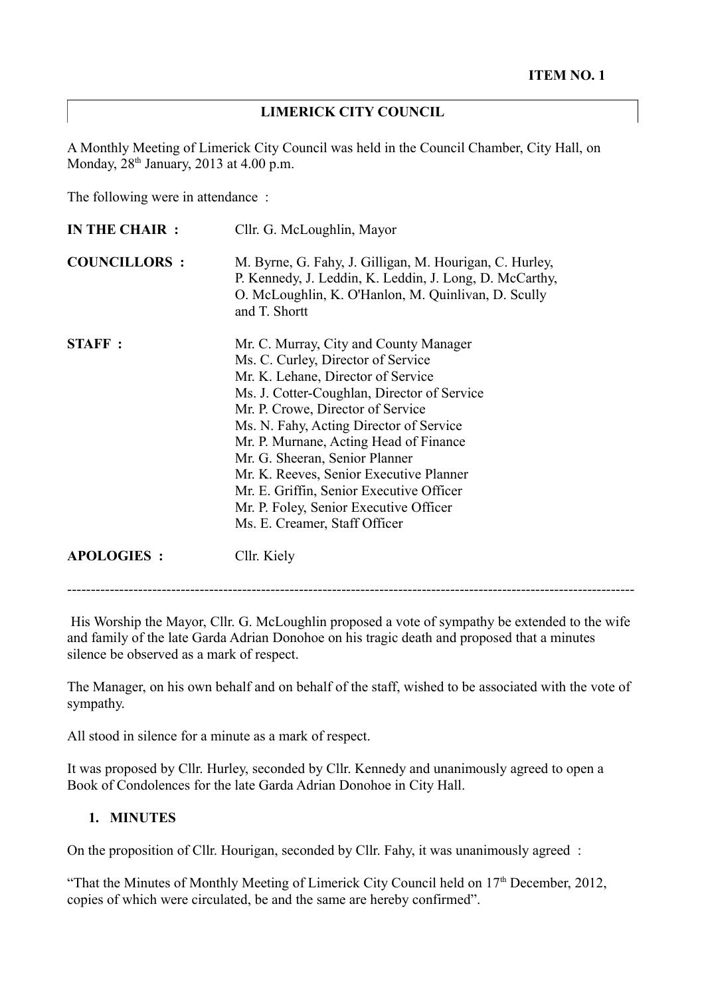#### **LIMERICK CITY COUNCIL**

A Monthly Meeting of Limerick City Council was held in the Council Chamber, City Hall, on Monday,  $28<sup>th</sup>$  January,  $2013$  at 4.00 p.m.

The following were in attendance :

| <b>IN THE CHAIR:</b> | Cllr. G. McLoughlin, Mayor                                                                                                                                                                                                                                                                                                                                                                                                                                                                      |
|----------------------|-------------------------------------------------------------------------------------------------------------------------------------------------------------------------------------------------------------------------------------------------------------------------------------------------------------------------------------------------------------------------------------------------------------------------------------------------------------------------------------------------|
| <b>COUNCILLORS:</b>  | M. Byrne, G. Fahy, J. Gilligan, M. Hourigan, C. Hurley,<br>P. Kennedy, J. Leddin, K. Leddin, J. Long, D. McCarthy,<br>O. McLoughlin, K. O'Hanlon, M. Quinlivan, D. Scully<br>and T. Shortt                                                                                                                                                                                                                                                                                                      |
| <b>STAFF:</b>        | Mr. C. Murray, City and County Manager<br>Ms. C. Curley, Director of Service<br>Mr. K. Lehane, Director of Service<br>Ms. J. Cotter-Coughlan, Director of Service<br>Mr. P. Crowe, Director of Service<br>Ms. N. Fahy, Acting Director of Service<br>Mr. P. Murnane, Acting Head of Finance<br>Mr. G. Sheeran, Senior Planner<br>Mr. K. Reeves, Senior Executive Planner<br>Mr. E. Griffin, Senior Executive Officer<br>Mr. P. Foley, Senior Executive Officer<br>Ms. E. Creamer, Staff Officer |
| <b>APOLOGIES:</b>    | Cllr. Kiely                                                                                                                                                                                                                                                                                                                                                                                                                                                                                     |

 His Worship the Mayor, Cllr. G. McLoughlin proposed a vote of sympathy be extended to the wife and family of the late Garda Adrian Donohoe on his tragic death and proposed that a minutes silence be observed as a mark of respect.

The Manager, on his own behalf and on behalf of the staff, wished to be associated with the vote of sympathy.

All stood in silence for a minute as a mark of respect.

It was proposed by Cllr. Hurley, seconded by Cllr. Kennedy and unanimously agreed to open a Book of Condolences for the late Garda Adrian Donohoe in City Hall.

#### **1. MINUTES**

On the proposition of Cllr. Hourigan, seconded by Cllr. Fahy, it was unanimously agreed :

"That the Minutes of Monthly Meeting of Limerick City Council held on  $17<sup>th</sup>$  December, 2012, copies of which were circulated, be and the same are hereby confirmed".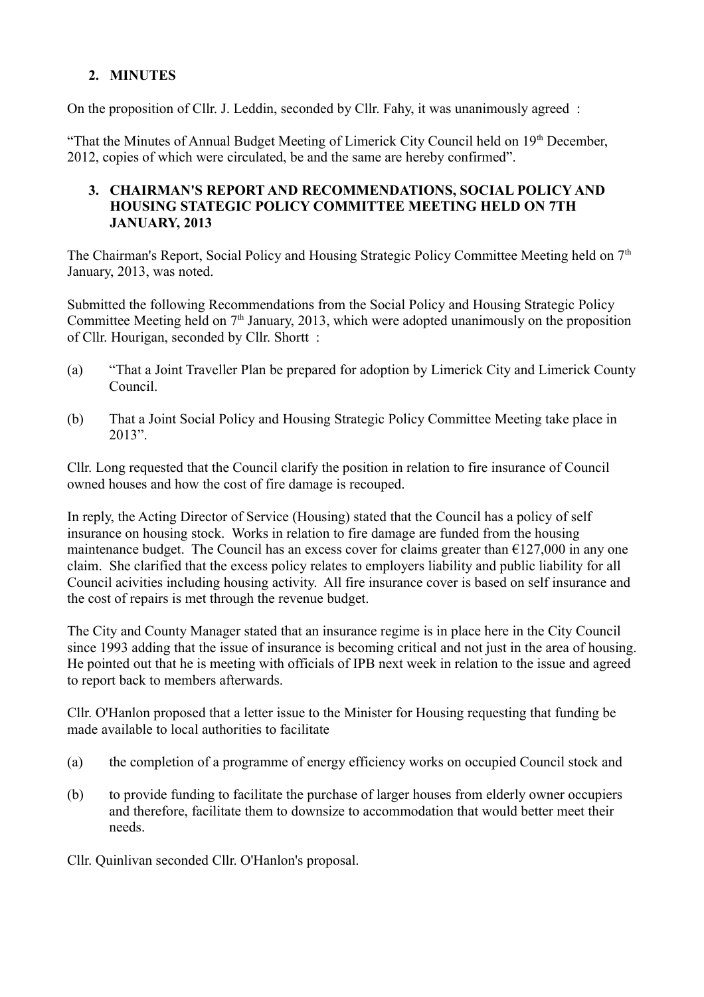## **2. MINUTES**

On the proposition of Cllr. J. Leddin, seconded by Cllr. Fahy, it was unanimously agreed :

"That the Minutes of Annual Budget Meeting of Limerick City Council held on 19<sup>th</sup> December, 2012, copies of which were circulated, be and the same are hereby confirmed".

### **3. CHAIRMAN'S REPORT AND RECOMMENDATIONS, SOCIAL POLICY AND HOUSING STATEGIC POLICY COMMITTEE MEETING HELD ON 7TH JANUARY, 2013**

The Chairman's Report, Social Policy and Housing Strategic Policy Committee Meeting held on  $7<sup>th</sup>$ January, 2013, was noted.

Submitted the following Recommendations from the Social Policy and Housing Strategic Policy Committee Meeting held on  $7<sup>th</sup>$  January, 2013, which were adopted unanimously on the proposition of Cllr. Hourigan, seconded by Cllr. Shortt :

- (a) "That a Joint Traveller Plan be prepared for adoption by Limerick City and Limerick County Council.
- (b) That a Joint Social Policy and Housing Strategic Policy Committee Meeting take place in 2013".

Cllr. Long requested that the Council clarify the position in relation to fire insurance of Council owned houses and how the cost of fire damage is recouped.

In reply, the Acting Director of Service (Housing) stated that the Council has a policy of self insurance on housing stock. Works in relation to fire damage are funded from the housing maintenance budget. The Council has an excess cover for claims greater than  $\epsilon$ 127,000 in any one claim. She clarified that the excess policy relates to employers liability and public liability for all Council acivities including housing activity. All fire insurance cover is based on self insurance and the cost of repairs is met through the revenue budget.

The City and County Manager stated that an insurance regime is in place here in the City Council since 1993 adding that the issue of insurance is becoming critical and not just in the area of housing. He pointed out that he is meeting with officials of IPB next week in relation to the issue and agreed to report back to members afterwards.

Cllr. O'Hanlon proposed that a letter issue to the Minister for Housing requesting that funding be made available to local authorities to facilitate

- (a) the completion of a programme of energy efficiency works on occupied Council stock and
- (b) to provide funding to facilitate the purchase of larger houses from elderly owner occupiers and therefore, facilitate them to downsize to accommodation that would better meet their needs.

Cllr. Quinlivan seconded Cllr. O'Hanlon's proposal.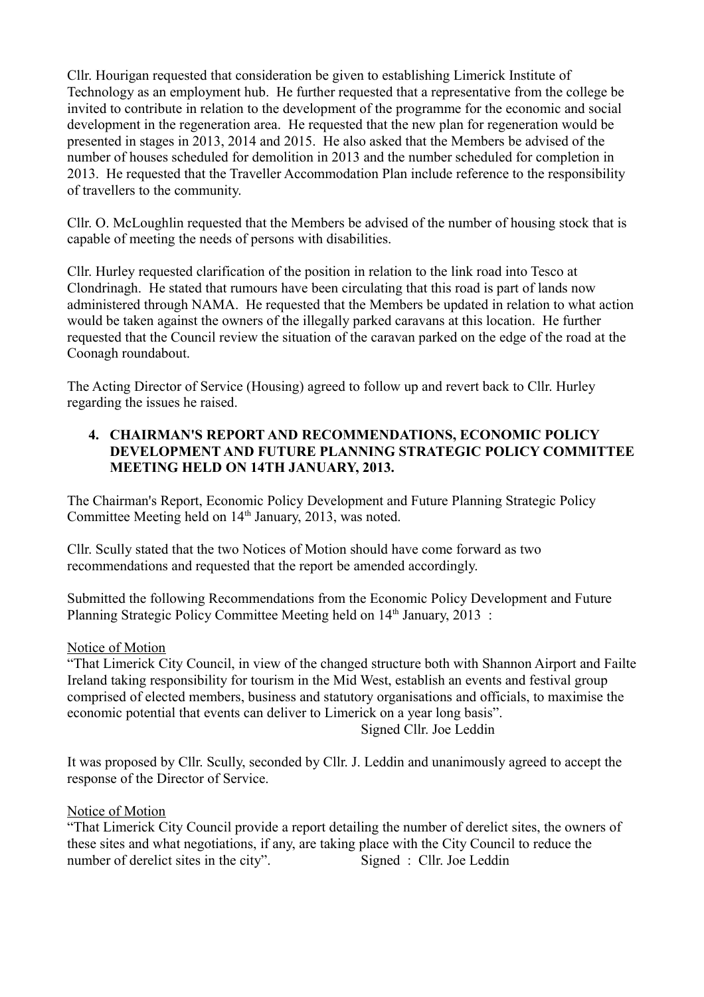Cllr. Hourigan requested that consideration be given to establishing Limerick Institute of Technology as an employment hub. He further requested that a representative from the college be invited to contribute in relation to the development of the programme for the economic and social development in the regeneration area. He requested that the new plan for regeneration would be presented in stages in 2013, 2014 and 2015. He also asked that the Members be advised of the number of houses scheduled for demolition in 2013 and the number scheduled for completion in 2013. He requested that the Traveller Accommodation Plan include reference to the responsibility of travellers to the community.

Cllr. O. McLoughlin requested that the Members be advised of the number of housing stock that is capable of meeting the needs of persons with disabilities.

Cllr. Hurley requested clarification of the position in relation to the link road into Tesco at Clondrinagh. He stated that rumours have been circulating that this road is part of lands now administered through NAMA. He requested that the Members be updated in relation to what action would be taken against the owners of the illegally parked caravans at this location. He further requested that the Council review the situation of the caravan parked on the edge of the road at the Coonagh roundabout.

The Acting Director of Service (Housing) agreed to follow up and revert back to Cllr. Hurley regarding the issues he raised.

### **4. CHAIRMAN'S REPORT AND RECOMMENDATIONS, ECONOMIC POLICY DEVELOPMENT AND FUTURE PLANNING STRATEGIC POLICY COMMITTEE MEETING HELD ON 14TH JANUARY, 2013.**

The Chairman's Report, Economic Policy Development and Future Planning Strategic Policy Committee Meeting held on 14<sup>th</sup> January, 2013, was noted.

Cllr. Scully stated that the two Notices of Motion should have come forward as two recommendations and requested that the report be amended accordingly.

Submitted the following Recommendations from the Economic Policy Development and Future Planning Strategic Policy Committee Meeting held on 14<sup>th</sup> January, 2013 :

### Notice of Motion

"That Limerick City Council, in view of the changed structure both with Shannon Airport and Failte Ireland taking responsibility for tourism in the Mid West, establish an events and festival group comprised of elected members, business and statutory organisations and officials, to maximise the economic potential that events can deliver to Limerick on a year long basis".

Signed Cllr. Joe Leddin

It was proposed by Cllr. Scully, seconded by Cllr. J. Leddin and unanimously agreed to accept the response of the Director of Service.

### Notice of Motion

"That Limerick City Council provide a report detailing the number of derelict sites, the owners of these sites and what negotiations, if any, are taking place with the City Council to reduce the number of derelict sites in the city". Signed : Cllr. Joe Leddin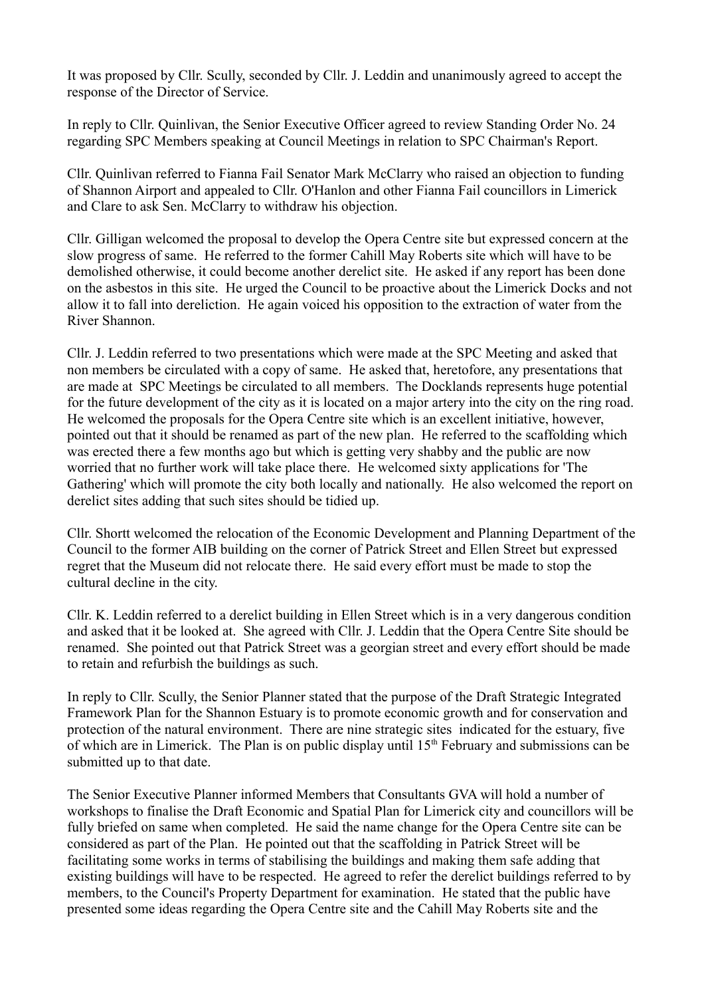It was proposed by Cllr. Scully, seconded by Cllr. J. Leddin and unanimously agreed to accept the response of the Director of Service.

In reply to Cllr. Quinlivan, the Senior Executive Officer agreed to review Standing Order No. 24 regarding SPC Members speaking at Council Meetings in relation to SPC Chairman's Report.

Cllr. Quinlivan referred to Fianna Fail Senator Mark McClarry who raised an objection to funding of Shannon Airport and appealed to Cllr. O'Hanlon and other Fianna Fail councillors in Limerick and Clare to ask Sen. McClarry to withdraw his objection.

Cllr. Gilligan welcomed the proposal to develop the Opera Centre site but expressed concern at the slow progress of same. He referred to the former Cahill May Roberts site which will have to be demolished otherwise, it could become another derelict site. He asked if any report has been done on the asbestos in this site. He urged the Council to be proactive about the Limerick Docks and not allow it to fall into dereliction. He again voiced his opposition to the extraction of water from the River Shannon.

Cllr. J. Leddin referred to two presentations which were made at the SPC Meeting and asked that non members be circulated with a copy of same. He asked that, heretofore, any presentations that are made at SPC Meetings be circulated to all members. The Docklands represents huge potential for the future development of the city as it is located on a major artery into the city on the ring road. He welcomed the proposals for the Opera Centre site which is an excellent initiative, however, pointed out that it should be renamed as part of the new plan. He referred to the scaffolding which was erected there a few months ago but which is getting very shabby and the public are now worried that no further work will take place there. He welcomed sixty applications for 'The Gathering' which will promote the city both locally and nationally. He also welcomed the report on derelict sites adding that such sites should be tidied up.

Cllr. Shortt welcomed the relocation of the Economic Development and Planning Department of the Council to the former AIB building on the corner of Patrick Street and Ellen Street but expressed regret that the Museum did not relocate there. He said every effort must be made to stop the cultural decline in the city.

Cllr. K. Leddin referred to a derelict building in Ellen Street which is in a very dangerous condition and asked that it be looked at. She agreed with Cllr. J. Leddin that the Opera Centre Site should be renamed. She pointed out that Patrick Street was a georgian street and every effort should be made to retain and refurbish the buildings as such.

In reply to Cllr. Scully, the Senior Planner stated that the purpose of the Draft Strategic Integrated Framework Plan for the Shannon Estuary is to promote economic growth and for conservation and protection of the natural environment. There are nine strategic sites indicated for the estuary, five of which are in Limerick. The Plan is on public display until  $15<sup>th</sup>$  February and submissions can be submitted up to that date.

The Senior Executive Planner informed Members that Consultants GVA will hold a number of workshops to finalise the Draft Economic and Spatial Plan for Limerick city and councillors will be fully briefed on same when completed. He said the name change for the Opera Centre site can be considered as part of the Plan. He pointed out that the scaffolding in Patrick Street will be facilitating some works in terms of stabilising the buildings and making them safe adding that existing buildings will have to be respected. He agreed to refer the derelict buildings referred to by members, to the Council's Property Department for examination. He stated that the public have presented some ideas regarding the Opera Centre site and the Cahill May Roberts site and the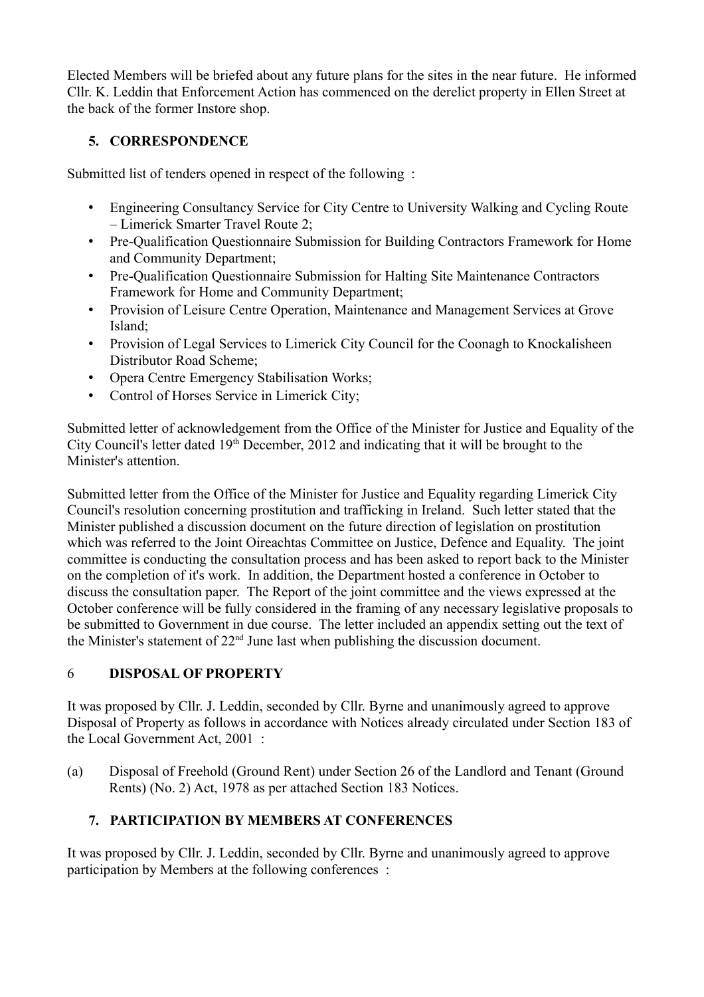Elected Members will be briefed about any future plans for the sites in the near future. He informed Cllr. K. Leddin that Enforcement Action has commenced on the derelict property in Ellen Street at the back of the former Instore shop.

## **5. CORRESPONDENCE**

Submitted list of tenders opened in respect of the following :

- Engineering Consultancy Service for City Centre to University Walking and Cycling Route – Limerick Smarter Travel Route 2;
- Pre-Qualification Questionnaire Submission for Building Contractors Framework for Home and Community Department;
- Pre-Qualification Questionnaire Submission for Halting Site Maintenance Contractors Framework for Home and Community Department;
- Provision of Leisure Centre Operation, Maintenance and Management Services at Grove Island;
- Provision of Legal Services to Limerick City Council for the Coonagh to Knockalisheen Distributor Road Scheme;
- Opera Centre Emergency Stabilisation Works;
- Control of Horses Service in Limerick City;

Submitted letter of acknowledgement from the Office of the Minister for Justice and Equality of the City Council's letter dated  $19<sup>th</sup>$  December, 2012 and indicating that it will be brought to the Minister's attention.

Submitted letter from the Office of the Minister for Justice and Equality regarding Limerick City Council's resolution concerning prostitution and trafficking in Ireland. Such letter stated that the Minister published a discussion document on the future direction of legislation on prostitution which was referred to the Joint Oireachtas Committee on Justice, Defence and Equality. The joint committee is conducting the consultation process and has been asked to report back to the Minister on the completion of it's work. In addition, the Department hosted a conference in October to discuss the consultation paper. The Report of the joint committee and the views expressed at the October conference will be fully considered in the framing of any necessary legislative proposals to be submitted to Government in due course. The letter included an appendix setting out the text of the Minister's statement of  $22<sup>nd</sup>$  June last when publishing the discussion document.

# 6 **DISPOSAL OF PROPERTY**

It was proposed by Cllr. J. Leddin, seconded by Cllr. Byrne and unanimously agreed to approve Disposal of Property as follows in accordance with Notices already circulated under Section 183 of the Local Government Act, 2001 :

(a) Disposal of Freehold (Ground Rent) under Section 26 of the Landlord and Tenant (Ground Rents) (No. 2) Act, 1978 as per attached Section 183 Notices.

# **7. PARTICIPATION BY MEMBERS AT CONFERENCES**

It was proposed by Cllr. J. Leddin, seconded by Cllr. Byrne and unanimously agreed to approve participation by Members at the following conferences :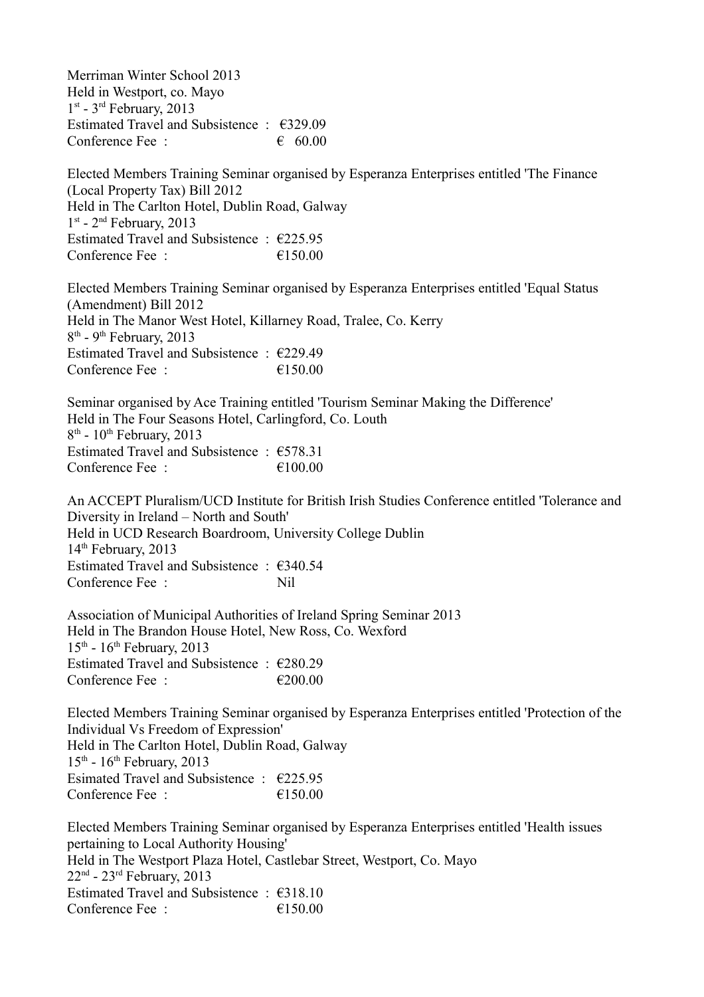Merriman Winter School 2013 Held in Westport, co. Mayo 1<sup>st</sup> - 3<sup>rd</sup> February, 2013 Estimated Travel and Subsistence : €329.09 Conference Fee :  $60.00$ Elected Members Training Seminar organised by Esperanza Enterprises entitled 'The Finance (Local Property Tax) Bill 2012 Held in The Carlton Hotel, Dublin Road, Galway 1 st - 2nd February, 2013 Estimated Travel and Subsistence :  $\epsilon$ 225.95 Conference Fee :  $\epsilon$  150.00 Elected Members Training Seminar organised by Esperanza Enterprises entitled 'Equal Status (Amendment) Bill 2012 Held in The Manor West Hotel, Killarney Road, Tralee, Co. Kerry 8<sup>th</sup> - 9<sup>th</sup> February, 2013 Estimated Travel and Subsistence : €229.49 Conference Fee :  $\epsilon$  = 6150.00 Seminar organised by Ace Training entitled 'Tourism Seminar Making the Difference' Held in The Four Seasons Hotel, Carlingford, Co. Louth 8<sup>th</sup> - 10<sup>th</sup> February, 2013 Estimated Travel and Subsistence : €578.31 Conference Fee :  $\epsilon$  = 6100.00 An ACCEPT Pluralism/UCD Institute for British Irish Studies Conference entitled 'Tolerance and Diversity in Ireland – North and South' Held in UCD Research Boardroom, University College Dublin  $14<sup>th</sup>$  February, 2013 Estimated Travel and Subsistence : €340.54 Conference Fee : Nil Association of Municipal Authorities of Ireland Spring Seminar 2013 Held in The Brandon House Hotel, New Ross, Co. Wexford  $15<sup>th</sup>$  -  $16<sup>th</sup>$  February, 2013 Estimated Travel and Subsistence :  $\epsilon$ 280.29 Conference Fee :  $\epsilon$  200.00 Elected Members Training Seminar organised by Esperanza Enterprises entitled 'Protection of the Individual Vs Freedom of Expression' Held in The Carlton Hotel, Dublin Road, Galway  $15<sup>th</sup>$  -  $16<sup>th</sup>$  February, 2013 Esimated Travel and Subsistence :  $\epsilon$ 225.95 Conference Fee  $\cdot$   $\epsilon$  150.00 Elected Members Training Seminar organised by Esperanza Enterprises entitled 'Health issues pertaining to Local Authority Housing' Held in The Westport Plaza Hotel, Castlebar Street, Westport, Co. Mayo  $22<sup>nd</sup>$  -  $23<sup>rd</sup>$  February,  $2013$ Estimated Travel and Subsistence : €318.10 Conference Fee :  $\epsilon$  =  $\epsilon$  150.00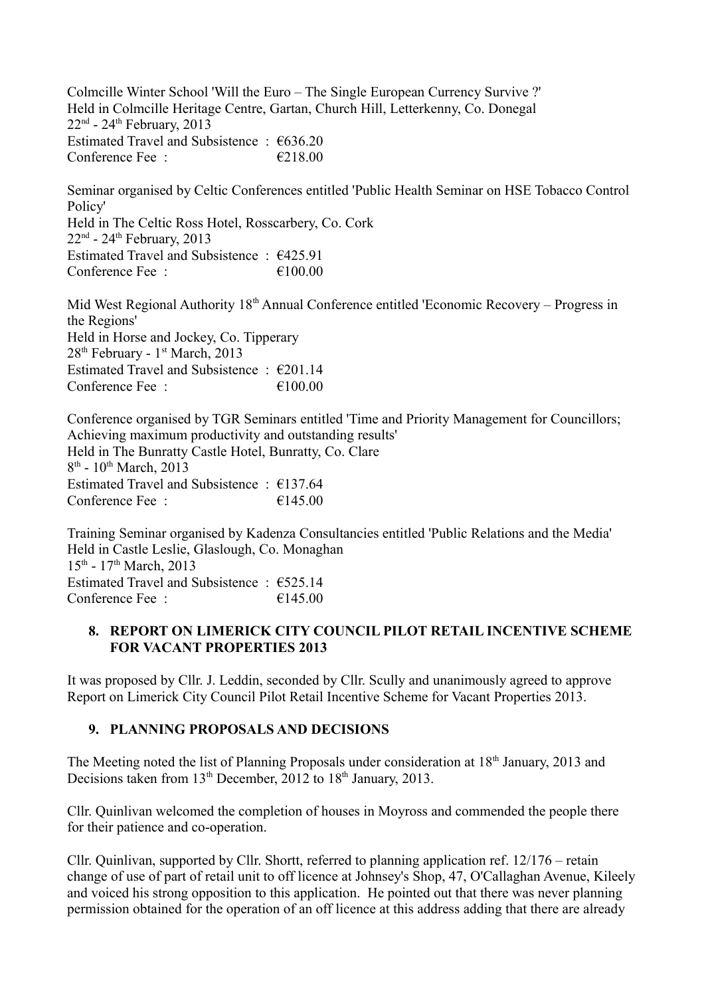Colmcille Winter School 'Will the Euro – The Single European Currency Survive ?' Held in Colmcille Heritage Centre, Gartan, Church Hill, Letterkenny, Co. Donegal  $22<sup>nd</sup>$  -  $24<sup>th</sup>$  February, 2013 Estimated Travel and Subsistence :  $€636.20$ Conference Fee :  $\epsilon$  6218.00

Seminar organised by Celtic Conferences entitled 'Public Health Seminar on HSE Tobacco Control Policy' Held in The Celtic Ross Hotel, Rosscarbery, Co. Cork  $22<sup>nd</sup>$  -  $24<sup>th</sup>$  February, 2013 Estimated Travel and Subsistence : €425.91 Conference Fee :  $\epsilon$  100.00

Mid West Regional Authority 18<sup>th</sup> Annual Conference entitled 'Economic Recovery – Progress in the Regions' Held in Horse and Jockey, Co. Tipperary 28<sup>th</sup> February - 1<sup>st</sup> March, 2013 Estimated Travel and Subsistence : €201.14 Conference Fee : €100.00

Conference organised by TGR Seminars entitled 'Time and Priority Management for Councillors; Achieving maximum productivity and outstanding results' Held in The Bunratty Castle Hotel, Bunratty, Co. Clare 8<sup>th</sup> - 10<sup>th</sup> March, 2013 Estimated Travel and Subsistence : €137.64 Conference Fee  $\cdot$   $\epsilon$  145.00

Training Seminar organised by Kadenza Consultancies entitled 'Public Relations and the Media' Held in Castle Leslie, Glaslough, Co. Monaghan 15<sup>th</sup> - 17<sup>th</sup> March, 2013 Estimated Travel and Subsistence : €525.14 Conference Fee  $\cdot$   $\epsilon$  145.00

### **8. REPORT ON LIMERICK CITY COUNCIL PILOT RETAIL INCENTIVE SCHEME FOR VACANT PROPERTIES 2013**

It was proposed by Cllr. J. Leddin, seconded by Cllr. Scully and unanimously agreed to approve Report on Limerick City Council Pilot Retail Incentive Scheme for Vacant Properties 2013.

## **9. PLANNING PROPOSALS AND DECISIONS**

The Meeting noted the list of Planning Proposals under consideration at 18<sup>th</sup> January, 2013 and Decisions taken from 13<sup>th</sup> December, 2012 to 18<sup>th</sup> January, 2013.

Cllr. Quinlivan welcomed the completion of houses in Moyross and commended the people there for their patience and co-operation.

Cllr. Quinlivan, supported by Cllr. Shortt, referred to planning application ref. 12/176 – retain change of use of part of retail unit to off licence at Johnsey's Shop, 47, O'Callaghan Avenue, Kileely and voiced his strong opposition to this application. He pointed out that there was never planning permission obtained for the operation of an off licence at this address adding that there are already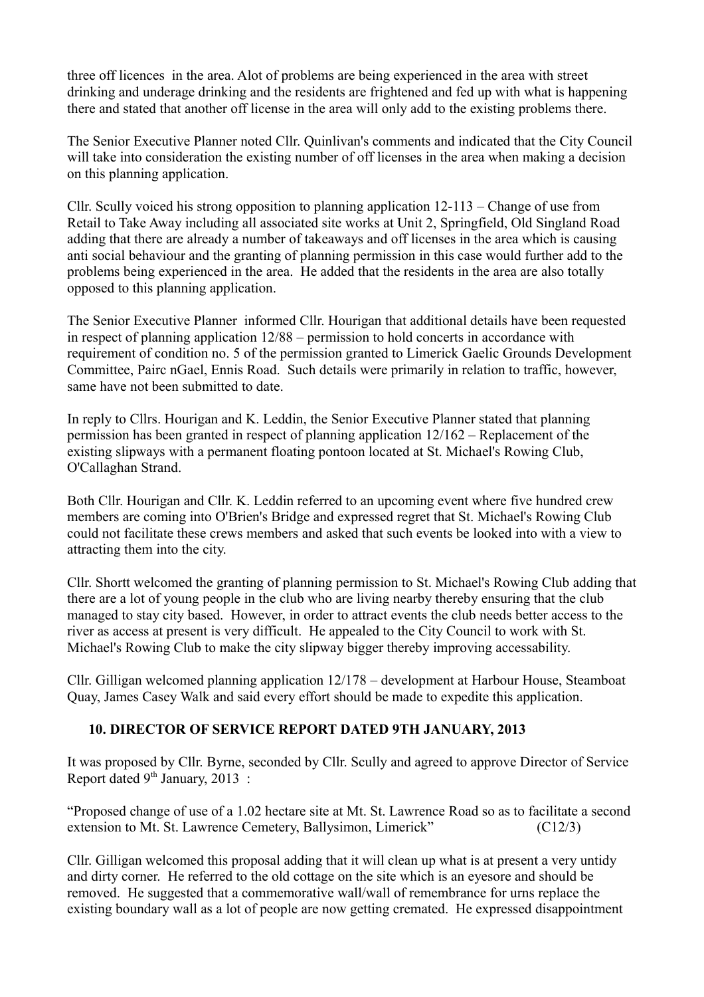three off licences in the area. Alot of problems are being experienced in the area with street drinking and underage drinking and the residents are frightened and fed up with what is happening there and stated that another off license in the area will only add to the existing problems there.

The Senior Executive Planner noted Cllr. Quinlivan's comments and indicated that the City Council will take into consideration the existing number of off licenses in the area when making a decision on this planning application.

Cllr. Scully voiced his strong opposition to planning application 12-113 – Change of use from Retail to Take Away including all associated site works at Unit 2, Springfield, Old Singland Road adding that there are already a number of takeaways and off licenses in the area which is causing anti social behaviour and the granting of planning permission in this case would further add to the problems being experienced in the area. He added that the residents in the area are also totally opposed to this planning application.

The Senior Executive Planner informed Cllr. Hourigan that additional details have been requested in respect of planning application 12/88 – permission to hold concerts in accordance with requirement of condition no. 5 of the permission granted to Limerick Gaelic Grounds Development Committee, Pairc nGael, Ennis Road. Such details were primarily in relation to traffic, however, same have not been submitted to date.

In reply to Cllrs. Hourigan and K. Leddin, the Senior Executive Planner stated that planning permission has been granted in respect of planning application 12/162 – Replacement of the existing slipways with a permanent floating pontoon located at St. Michael's Rowing Club, O'Callaghan Strand.

Both Cllr. Hourigan and Cllr. K. Leddin referred to an upcoming event where five hundred crew members are coming into O'Brien's Bridge and expressed regret that St. Michael's Rowing Club could not facilitate these crews members and asked that such events be looked into with a view to attracting them into the city.

Cllr. Shortt welcomed the granting of planning permission to St. Michael's Rowing Club adding that there are a lot of young people in the club who are living nearby thereby ensuring that the club managed to stay city based. However, in order to attract events the club needs better access to the river as access at present is very difficult. He appealed to the City Council to work with St. Michael's Rowing Club to make the city slipway bigger thereby improving accessability.

Cllr. Gilligan welcomed planning application 12/178 – development at Harbour House, Steamboat Quay, James Casey Walk and said every effort should be made to expedite this application.

### **10. DIRECTOR OF SERVICE REPORT DATED 9TH JANUARY, 2013**

It was proposed by Cllr. Byrne, seconded by Cllr. Scully and agreed to approve Director of Service Report dated 9<sup>th</sup> January, 2013 :

"Proposed change of use of a 1.02 hectare site at Mt. St. Lawrence Road so as to facilitate a second extension to Mt. St. Lawrence Cemetery, Ballysimon, Limerick" (C12/3)

Cllr. Gilligan welcomed this proposal adding that it will clean up what is at present a very untidy and dirty corner. He referred to the old cottage on the site which is an eyesore and should be removed. He suggested that a commemorative wall/wall of remembrance for urns replace the existing boundary wall as a lot of people are now getting cremated. He expressed disappointment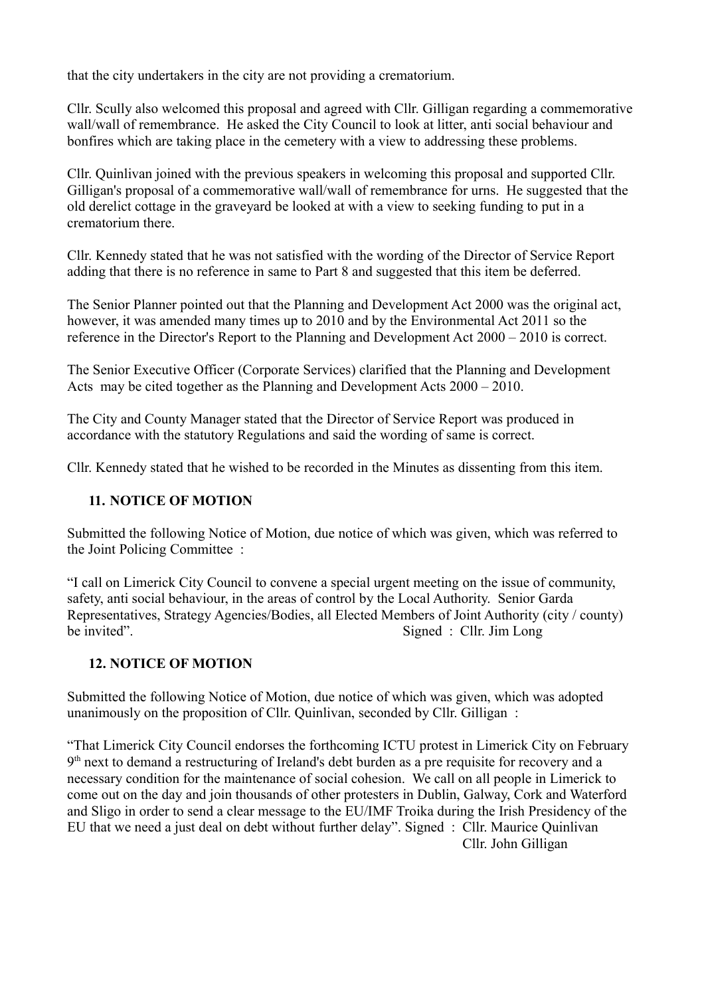that the city undertakers in the city are not providing a crematorium.

Cllr. Scully also welcomed this proposal and agreed with Cllr. Gilligan regarding a commemorative wall/wall of remembrance. He asked the City Council to look at litter, anti social behaviour and bonfires which are taking place in the cemetery with a view to addressing these problems.

Cllr. Quinlivan joined with the previous speakers in welcoming this proposal and supported Cllr. Gilligan's proposal of a commemorative wall/wall of remembrance for urns. He suggested that the old derelict cottage in the graveyard be looked at with a view to seeking funding to put in a crematorium there.

Cllr. Kennedy stated that he was not satisfied with the wording of the Director of Service Report adding that there is no reference in same to Part 8 and suggested that this item be deferred.

The Senior Planner pointed out that the Planning and Development Act 2000 was the original act, however, it was amended many times up to 2010 and by the Environmental Act 2011 so the reference in the Director's Report to the Planning and Development Act 2000 – 2010 is correct.

The Senior Executive Officer (Corporate Services) clarified that the Planning and Development Acts may be cited together as the Planning and Development Acts 2000 – 2010.

The City and County Manager stated that the Director of Service Report was produced in accordance with the statutory Regulations and said the wording of same is correct.

Cllr. Kennedy stated that he wished to be recorded in the Minutes as dissenting from this item.

### **11. NOTICE OF MOTION**

Submitted the following Notice of Motion, due notice of which was given, which was referred to the Joint Policing Committee :

"I call on Limerick City Council to convene a special urgent meeting on the issue of community, safety, anti social behaviour, in the areas of control by the Local Authority. Senior Garda Representatives, Strategy Agencies/Bodies, all Elected Members of Joint Authority (city / county) be invited". Signed : Cllr. Jim Long

## **12. NOTICE OF MOTION**

Submitted the following Notice of Motion, due notice of which was given, which was adopted unanimously on the proposition of Cllr. Quinlivan, seconded by Cllr. Gilligan :

"That Limerick City Council endorses the forthcoming ICTU protest in Limerick City on February 9<sup>th</sup> next to demand a restructuring of Ireland's debt burden as a pre requisite for recovery and a necessary condition for the maintenance of social cohesion. We call on all people in Limerick to come out on the day and join thousands of other protesters in Dublin, Galway, Cork and Waterford and Sligo in order to send a clear message to the EU/IMF Troika during the Irish Presidency of the EU that we need a just deal on debt without further delay". Signed : Cllr. Maurice Quinlivan Cllr. John Gilligan